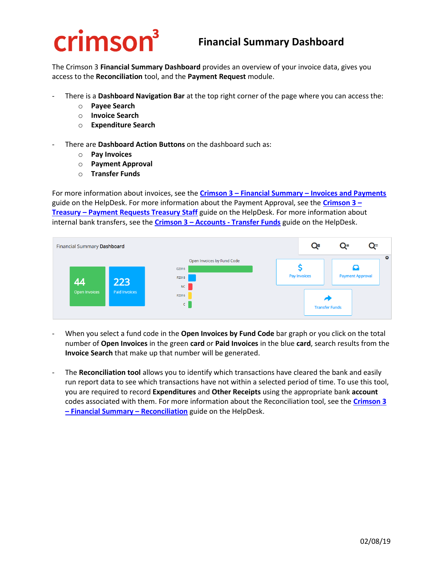## **crimson**<sup>3</sup>

## **Financial Summary Dashboard**

The Crimson 3 **Financial Summary Dashboard** provides an overview of your invoice data, gives you access to the **Reconciliation** tool, and the **Payment Request** module.

- There is a **Dashboard Navigation Bar** at the top right corner of the page where you can access the:
	- o **Payee Search**
	- o **Invoice Search**
	- o **Expenditure Search**
- There are **Dashboard Action Buttons** on the dashboard such as:
	- o **Pay Invoices**
	- o **Payment Approval**
	- o **Transfer Funds**

For more information about invoices, see the **Crimson 3 – Financial Summary – [Invoices and Payments](https://support.cmdi.com/hc/en-us/articles/360022545631-Crimson-3-Financial-Summary-Invoices-and-Payments)** guide on the HelpDesk. For more information about the Payment Approval, see the **[Crimson 3](https://support.cmdi.com/hc/en-us/articles/360018860111-Crimson-3-Treasury-Payment-Requests-Treasury-Staff) – Treasury – [Payment Requests Treasury Staff](https://support.cmdi.com/hc/en-us/articles/360018860111-Crimson-3-Treasury-Payment-Requests-Treasury-Staff)** guide on the HelpDesk. For more information about internal bank transfers, see the **Crimson 3 – Accounts - Transfer Funds** guide on the HelpDesk.



- When you select a fund code in the **Open Invoices by Fund Code** bar graph or you click on the total number of **Open Invoices** in the green **card** or **Paid Invoices** in the blue **card**, search results from the **Invoice Search** that make up that number will be generated.
- The **Reconciliation tool** allows you to identify which transactions have cleared the bank and easily run report data to see which transactions have not within a selected period of time. To use this tool, you are required to record **Expenditures** and **Other Receipts** using the appropriate bank **account** codes associated with them. For more information about the Reconciliation tool, see the **[Crimson 3](https://support.cmdi.com/hc/en-us/articles/360022365232-Crimson-3-Financial-Summary-Reconciliation)  – [Financial Summary](https://support.cmdi.com/hc/en-us/articles/360022365232-Crimson-3-Financial-Summary-Reconciliation) – Reconciliation** guide on the HelpDesk.